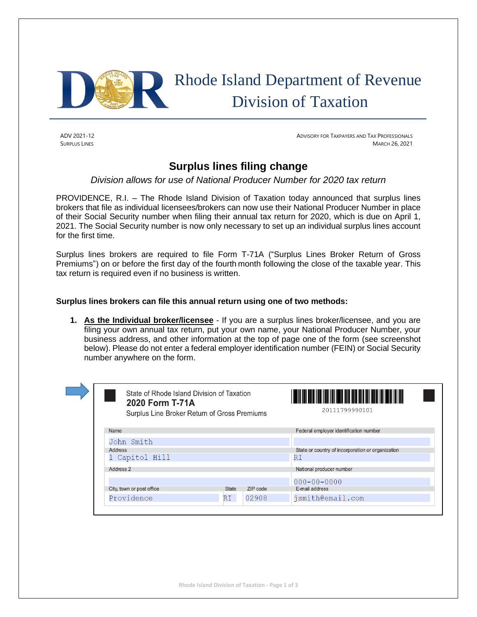

 Rhode Island Department of Revenue Division of Taxation

ADV 2021-12 ADVISORY FOR TAXPAYERS AND TAX PROFESSIONALS SURPLUS LINES MARCH 26, 2021

## **Surplus lines filing change**

*Division allows for use of National Producer Number for 2020 tax return*

PROVIDENCE, R.I. – The Rhode Island Division of Taxation today announced that surplus lines brokers that file as individual licensees/brokers can now use their National Producer Number in place of their Social Security number when filing their annual tax return for 2020, which is due on April 1, 2021. The Social Security number is now only necessary to set up an individual surplus lines account for the first time.

Surplus lines brokers are required to file Form T-71A ("Surplus Lines Broker Return of Gross Premiums") on or before the first day of the fourth month following the close of the taxable year. This tax return is required even if no business is written.

## **Surplus lines brokers can file this annual return using one of two methods:**

**1. As the Individual broker/licensee** - If you are a surplus lines broker/licensee, and you are filing your own annual tax return, put your own name, your National Producer Number, your business address, and other information at the top of page one of the form (see screenshot below). Please do not enter a federal employer identification number (FEIN) or Social Security number anywhere on the form.

| State of Rhode Island Division of Taxation<br>2020 Form T-71A | Surplus Line Broker Return of Gross Premiums | <u> Alian da Antara (Alian da Antara Antara) da sensa da </u><br>20111799990101 |
|---------------------------------------------------------------|----------------------------------------------|---------------------------------------------------------------------------------|
| Name                                                          |                                              | Federal employer identification number                                          |
| John Smith                                                    |                                              |                                                                                 |
| Address                                                       |                                              | State or country of incorporation or organization                               |
| 1 Capitol Hill                                                |                                              | RI                                                                              |
| Address 2                                                     |                                              | National producer number                                                        |
|                                                               |                                              | $000 - 00 - 0000$                                                               |
| City, town or post office                                     | <b>State</b><br>ZIP code                     | E-mail address                                                                  |
| Providence                                                    | 02908<br>RI                                  | jsmith@email.com                                                                |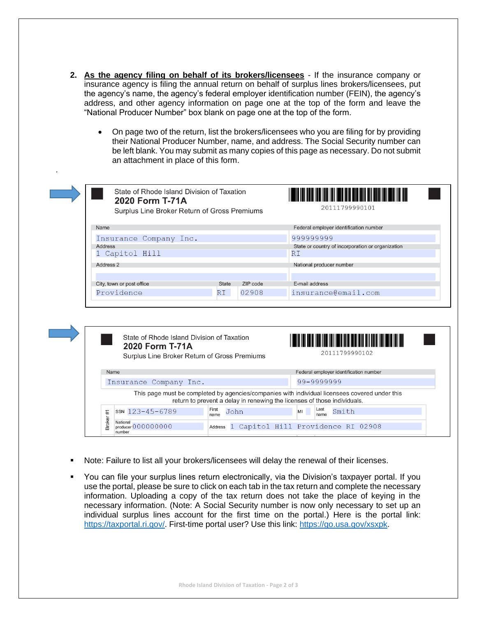**2. As the agency filing on behalf of its brokers/licensees** - If the insurance company or insurance agency is filing the annual return on behalf of surplus lines brokers/licensees, put the agency's name, the agency's federal employer identification number (FEIN), the agency's address, and other agency information on page one at the top of the form and leave the "National Producer Number" box blank on page one at the top of the form.

*.* 

• On page two of the return, list the brokers/licensees who you are filing for by providing their National Producer Number, name, and address. The Social Security number can be left blank. You may submit as many copies of this page as necessary. Do not submit an attachment in place of this form.

| State of Rhode Island Division of Taxation<br>2020 Form T-71A<br>Surplus Line Broker Return of Gross Premiums |       | 20111799990101 |                                                   |
|---------------------------------------------------------------------------------------------------------------|-------|----------------|---------------------------------------------------|
| Name                                                                                                          |       |                | Federal employer identification number            |
| Insurance Company Inc.                                                                                        |       |                | 999999999                                         |
| Address                                                                                                       |       |                | State or country of incorporation or organization |
| 1 Capitol Hill                                                                                                |       |                | RI                                                |
| Address 2                                                                                                     |       |                | National producer number                          |
|                                                                                                               |       |                |                                                   |
| City, town or post office                                                                                     | State | ZIP code       | E-mail address                                    |
| Providence                                                                                                    | RI    | 02908          | insurance@email.com                               |

|        | State of Rhode Island Division of Taxation<br>2020 Form T-71A<br>Surplus Line Broker Return of Gross Premiums |                                                                          | 'YE HAN BULU ING ING ING HIT BER DIN ABIB ING ING ING ING ANG ING ING ING ING<br>20111799990102 |
|--------|---------------------------------------------------------------------------------------------------------------|--------------------------------------------------------------------------|-------------------------------------------------------------------------------------------------|
| Name   |                                                                                                               |                                                                          | Federal employer identification number                                                          |
|        | Insurance Company Inc.                                                                                        |                                                                          | 99-9999999                                                                                      |
|        |                                                                                                               | return to prevent a delay in renewing the licenses of those individuals. | This page must be completed by agencies/companies with individual licensees covered under this  |
| #      | $ssN$ 123-45-6789                                                                                             | First<br>John<br>name                                                    | Last<br>Smith<br>MI<br>name                                                                     |
| Broker | National<br>produser 000000000<br>number                                                                      |                                                                          | Address 1 Capitol Hill Providence RI 02908                                                      |

- Note: Failure to list all your brokers/licensees will delay the renewal of their licenses.
- You can file your surplus lines return electronically, via the Division's taxpayer portal. If you use the portal, please be sure to click on each tab in the tax return and complete the necessary information. Uploading a copy of the tax return does not take the place of keying in the necessary information. (Note: A Social Security number is now only necessary to set up an individual surplus lines account for the first time on the portal.) Here is the portal link: [https://taxportal.ri.gov/.](https://taxportal.ri.gov/) First-time portal user? Use this link: [https://go.usa.gov/xsxpk.](https://go.usa.gov/xsxpk)